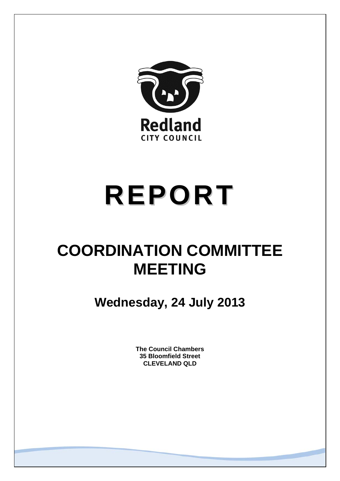

# **REPORT**

# **COORDINATION COMMITTEE MEETING**

**Wednesday, 24 July 2013** 

**The Council Chambers 35 Bloomfield Street CLEVELAND QLD**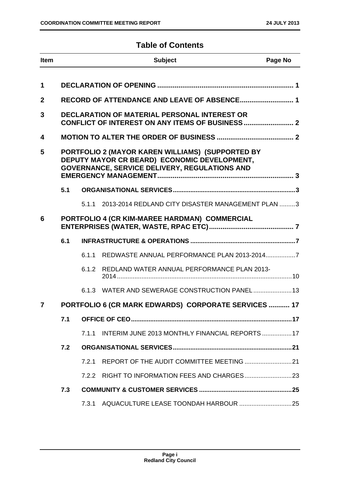### **Table of Contents**

| <b>Item</b>  |                                                                                                                                                   |       | <b>Subject</b>                                       | Page No |
|--------------|---------------------------------------------------------------------------------------------------------------------------------------------------|-------|------------------------------------------------------|---------|
| 1            |                                                                                                                                                   |       |                                                      |         |
| $\mathbf{2}$ |                                                                                                                                                   |       | RECORD OF ATTENDANCE AND LEAVE OF ABSENCE 1          |         |
| 3            |                                                                                                                                                   |       | <b>DECLARATION OF MATERIAL PERSONAL INTEREST OR</b>  |         |
|              |                                                                                                                                                   |       |                                                      |         |
| 4            |                                                                                                                                                   |       |                                                      |         |
| 5            | PORTFOLIO 2 (MAYOR KAREN WILLIAMS) (SUPPORTED BY<br>DEPUTY MAYOR CR BEARD) ECONOMIC DEVELOPMENT,<br>GOVERNANCE, SERVICE DELIVERY, REGULATIONS AND |       |                                                      |         |
|              | 5.1                                                                                                                                               |       |                                                      |         |
|              |                                                                                                                                                   | 5.1.1 | 2013-2014 REDLAND CITY DISASTER MANAGEMENT PLAN 3    |         |
| 6            |                                                                                                                                                   |       | PORTFOLIO 4 (CR KIM-MAREE HARDMAN) COMMERCIAL        |         |
|              | 6.1                                                                                                                                               |       |                                                      |         |
|              |                                                                                                                                                   | 6.1.1 |                                                      |         |
|              |                                                                                                                                                   | 6.1.2 | REDLAND WATER ANNUAL PERFORMANCE PLAN 2013-          |         |
|              |                                                                                                                                                   |       | 6.1.3 WATER AND SEWERAGE CONSTRUCTION PANEL 13       |         |
| 7            |                                                                                                                                                   |       | PORTFOLIO 6 (CR MARK EDWARDS) CORPORATE SERVICES  17 |         |
|              | 7.1                                                                                                                                               |       |                                                      |         |
|              |                                                                                                                                                   | 7.1.1 | INTERIM JUNE 2013 MONTHLY FINANCIAL REPORTS  17      |         |
|              | 7.2                                                                                                                                               |       |                                                      |         |
|              |                                                                                                                                                   | 7.2.1 |                                                      |         |
|              |                                                                                                                                                   |       |                                                      |         |
|              | 7.3                                                                                                                                               |       |                                                      |         |
|              |                                                                                                                                                   | 7.3.1 |                                                      |         |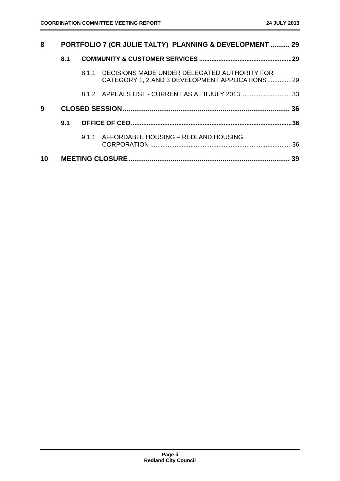| 8  |     | PORTFOLIO 7 (CR JULIE TALTY) PLANNING & DEVELOPMENT  29                                              |    |
|----|-----|------------------------------------------------------------------------------------------------------|----|
|    | 8.1 |                                                                                                      |    |
|    |     | 8.1.1 DECISIONS MADE UNDER DELEGATED AUTHORITY FOR<br>CATEGORY 1, 2 AND 3 DEVELOPMENT APPLICATIONS29 |    |
|    |     | 8.1.2 APPEALS LIST - CURRENT AS AT 8 JULY 201333                                                     |    |
| 9  |     |                                                                                                      |    |
|    | 9.1 |                                                                                                      |    |
|    |     | 9.1.1 AFFORDABLE HOUSING - REDLAND HOUSING                                                           |    |
| 10 |     |                                                                                                      | 39 |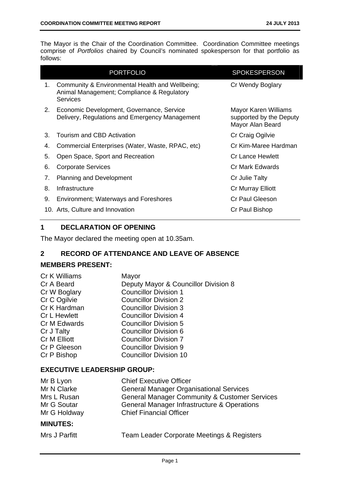The Mayor is the Chair of the Coordination Committee. Coordination Committee meetings comprise of *Portfolios* chaired by Council's nominated spokesperson for that portfolio as follows:

|    | <b>PORTFOLIO</b>                                                                                          | <b>SPOKESPERSON</b>                                                 |
|----|-----------------------------------------------------------------------------------------------------------|---------------------------------------------------------------------|
| 1. | Community & Environmental Health and Wellbeing;<br>Animal Management; Compliance & Regulatory<br>Services | Cr Wendy Boglary                                                    |
| 2. | Economic Development, Governance, Service<br>Delivery, Regulations and Emergency Management               | Mayor Karen Williams<br>supported by the Deputy<br>Mayor Alan Beard |
| 3. | Tourism and CBD Activation                                                                                | Cr Craig Ogilvie                                                    |
| 4. | Commercial Enterprises (Water, Waste, RPAC, etc)                                                          | Cr Kim-Maree Hardman                                                |
| 5. | Open Space, Sport and Recreation                                                                          | <b>Cr Lance Hewlett</b>                                             |
| 6. | <b>Corporate Services</b>                                                                                 | Cr Mark Edwards                                                     |
| 7. | <b>Planning and Development</b>                                                                           | Cr Julie Talty                                                      |
| 8. | Infrastructure                                                                                            | Cr Murray Elliott                                                   |
| 9. | <b>Environment; Waterways and Foreshores</b>                                                              | <b>Cr Paul Gleeson</b>                                              |
|    | 10. Arts, Culture and Innovation                                                                          | Cr Paul Bishop                                                      |

#### **1 DECLARATION OF OPENING**

The Mayor declared the meeting open at 10.35am.

#### **2 RECORD OF ATTENDANCE AND LEAVE OF ABSENCE**

#### **MEMBERS PRESENT:**

| Cr K Williams       | Mayor                                |
|---------------------|--------------------------------------|
| Cr A Beard          | Deputy Mayor & Councillor Division 8 |
| Cr W Boglary        | <b>Councillor Division 1</b>         |
| Cr C Ogilvie        | <b>Councillor Division 2</b>         |
| Cr K Hardman        | <b>Councillor Division 3</b>         |
| <b>Cr L Hewlett</b> | <b>Councillor Division 4</b>         |
| Cr M Edwards        | <b>Councillor Division 5</b>         |
| Cr J Talty          | <b>Councillor Division 6</b>         |
| Cr M Elliott        | <b>Councillor Division 7</b>         |
| Cr P Gleeson        | <b>Councillor Division 9</b>         |
| Cr P Bishop         | <b>Councillor Division 10</b>        |
|                     |                                      |

#### **EXECUTIVE LEADERSHIP GROUP:**

| <b>MINUTES:</b> |                                                          |
|-----------------|----------------------------------------------------------|
| Mr G Holdway    | <b>Chief Financial Officer</b>                           |
| Mr G Soutar     | General Manager Infrastructure & Operations              |
| Mrs L Rusan     | <b>General Manager Community &amp; Customer Services</b> |
| Mr N Clarke     | <b>General Manager Organisational Services</b>           |
| Mr B Lyon       | <b>Chief Executive Officer</b>                           |

|  | Mrs J Parfitt |  |
|--|---------------|--|
|--|---------------|--|

Team Leader Corporate Meetings & Registers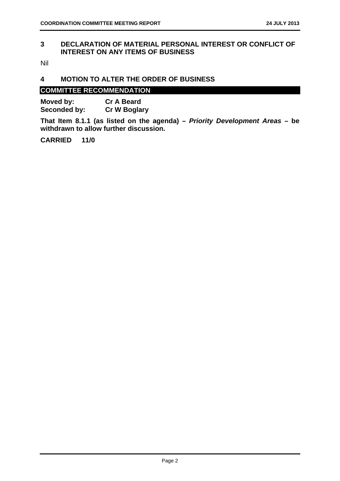#### **3 DECLARATION OF MATERIAL PERSONAL INTEREST OR CONFLICT OF INTEREST ON ANY ITEMS OF BUSINESS**

Nil

#### **4 MOTION TO ALTER THE ORDER OF BUSINESS**

#### **COMMITTEE RECOMMENDATION**

| Moved by:    | <b>Cr A Beard</b>   |
|--------------|---------------------|
| Seconded by: | <b>Cr W Boglary</b> |

**That Item 8.1.1 (as listed on the agenda) –** *Priority Development Areas* **– be withdrawn to allow further discussion.**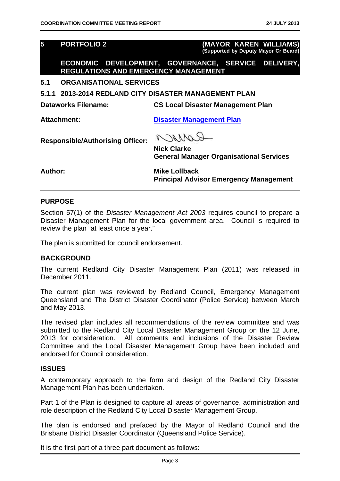**5 PORTFOLIO 2 (MAYOR KAREN WILLIAMS) (Supported by Deputy Mayor Cr Beard)**

**ECONOMIC DEVELOPMENT, GOVERNANCE, SERVICE DELIVERY, REGULATIONS AND EMERGENCY MANAGEMENT** 

#### **5.1 ORGANISATIONAL SERVICES**

**5.1.1 2013-2014 REDLAND CITY DISASTER MANAGEMENT PLAN** 

**Dataworks Filename: CS Local Disaster Management Plan** 

**Attachment: Disaster Management Plan**

**Responsible/Authorising Officer:** 

ROMACO **Nick Clarke General Manager Organisational Services** 

Author: Mike Lollback **Principal Advisor Emergency Management** 

#### **PURPOSE**

Section 57(1) of the *Disaster Management Act 2003* requires council to prepare a Disaster Management Plan for the local government area. Council is required to review the plan "at least once a year."

The plan is submitted for council endorsement.

#### **BACKGROUND**

The current Redland City Disaster Management Plan (2011) was released in December 2011.

The current plan was reviewed by Redland Council, Emergency Management Queensland and The District Disaster Coordinator (Police Service) between March and May 2013.

The revised plan includes all recommendations of the review committee and was submitted to the Redland City Local Disaster Management Group on the 12 June, 2013 for consideration. All comments and inclusions of the Disaster Review Committee and the Local Disaster Management Group have been included and endorsed for Council consideration.

#### **ISSUES**

A contemporary approach to the form and design of the Redland City Disaster Management Plan has been undertaken.

Part 1 of the Plan is designed to capture all areas of governance, administration and role description of the Redland City Local Disaster Management Group.

The plan is endorsed and prefaced by the Mayor of Redland Council and the Brisbane District Disaster Coordinator (Queensland Police Service).

It is the first part of a three part document as follows: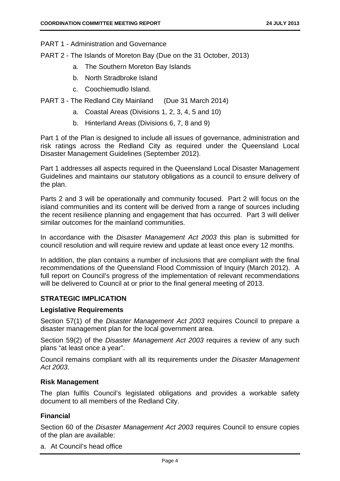PART 1 - Administration and Governance

PART 2 - The Islands of Moreton Bay (Due on the 31 October, 2013)

- a. The Southern Moreton Bay Islands
- b. North Stradbroke Island
- c. Coochiemudlo Island.

PART 3 - The Redland City Mainland (Due 31 March 2014)

- a. Coastal Areas (Divisions 1, 2, 3, 4, 5 and 10)
- b. Hinterland Areas (Divisions 6, 7, 8 and 9)

Part 1 of the Plan is designed to include all issues of governance, administration and risk ratings across the Redland City as required under the Queensland Local Disaster Management Guidelines (September 2012).

Part 1 addresses all aspects required in the Queensland Local Disaster Management Guidelines and maintains our statutory obligations as a council to ensure delivery of the plan.

Parts 2 and 3 will be operationally and community focused. Part 2 will focus on the island communities and its content will be derived from a range of sources including the recent resilience planning and engagement that has occurred. Part 3 will deliver similar outcomes for the mainland communities.

In accordance with the *Disaster Management Act 2003* this plan is submitted for council resolution and will require review and update at least once every 12 months.

In addition, the plan contains a number of inclusions that are compliant with the final recommendations of the Queensland Flood Commission of Inquiry (March 2012). A full report on Council's progress of the implementation of relevant recommendations will be delivered to Council at or prior to the final general meeting of 2013.

#### **STRATEGIC IMPLICATION**

#### **Legislative Requirements**

Section 57(1) of the *Disaster Management Act 2003* requires Council to prepare a disaster management plan for the local government area.

Section 59(2) of the *Disaster Management Act 2003* requires a review of any such plans "at least once a year".

Council remains compliant with all its requirements under the *Disaster Management Act 2003*.

#### **Risk Management**

The plan fulfils Council's legislated obligations and provides a workable safety document to all members of the Redland City.

#### **Financial**

Section 60 of the *Disaster Management Act 2003* requires Council to ensure copies of the plan are available:

a. At Council's head office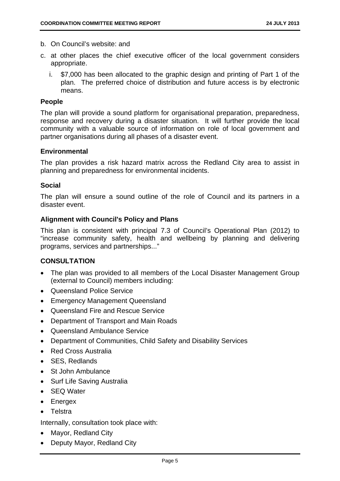- b. On Council's website: and
- c. at other places the chief executive officer of the local government considers appropriate.
	- i. \$7,000 has been allocated to the graphic design and printing of Part 1 of the plan. The preferred choice of distribution and future access is by electronic means.

#### **People**

The plan will provide a sound platform for organisational preparation, preparedness, response and recovery during a disaster situation. It will further provide the local community with a valuable source of information on role of local government and partner organisations during all phases of a disaster event.

#### **Environmental**

The plan provides a risk hazard matrix across the Redland City area to assist in planning and preparedness for environmental incidents.

#### **Social**

The plan will ensure a sound outline of the role of Council and its partners in a disaster event.

#### **Alignment with Council's Policy and Plans**

This plan is consistent with principal 7.3 of Council's Operational Plan (2012) to "increase community safety, health and wellbeing by planning and delivering programs, services and partnerships..."

#### **CONSULTATION**

- The plan was provided to all members of the Local Disaster Management Group (external to Council) members including:
- Queensland Police Service
- Emergency Management Queensland
- Queensland Fire and Rescue Service
- Department of Transport and Main Roads
- Queensland Ambulance Service
- Department of Communities, Child Safety and Disability Services
- Red Cross Australia
- SES, Redlands
- St John Ambulance
- Surf Life Saving Australia
- SEQ Water
- Energex
- Telstra

Internally, consultation took place with:

- Mayor, Redland City
- Deputy Mayor, Redland City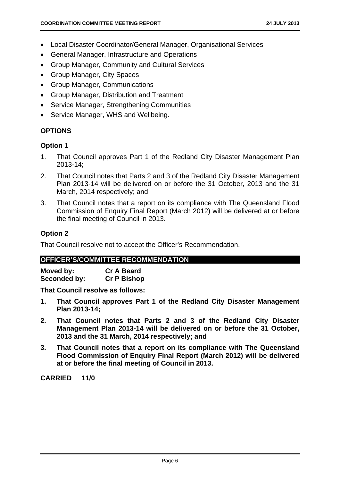- Local Disaster Coordinator/General Manager, Organisational Services
- General Manager, Infrastructure and Operations
- Group Manager, Community and Cultural Services
- Group Manager, City Spaces
- Group Manager, Communications
- Group Manager, Distribution and Treatment
- Service Manager, Strengthening Communities
- Service Manager, WHS and Wellbeing.

#### **OPTIONS**

#### **Option 1**

- 1. That Council approves Part 1 of the Redland City Disaster Management Plan 2013-14;
- 2. That Council notes that Parts 2 and 3 of the Redland City Disaster Management Plan 2013-14 will be delivered on or before the 31 October, 2013 and the 31 March, 2014 respectively; and
- 3. That Council notes that a report on its compliance with The Queensland Flood Commission of Enquiry Final Report (March 2012) will be delivered at or before the final meeting of Council in 2013.

#### **Option 2**

That Council resolve not to accept the Officer's Recommendation.

#### **OFFICER'S/COMMITTEE RECOMMENDATION**

| Moved by:    | <b>Cr A Beard</b>  |
|--------------|--------------------|
| Seconded by: | <b>Cr P Bishop</b> |

**That Council resolve as follows:** 

- **1. That Council approves Part 1 of the Redland City Disaster Management Plan 2013-14;**
- **2. That Council notes that Parts 2 and 3 of the Redland City Disaster Management Plan 2013-14 will be delivered on or before the 31 October, 2013 and the 31 March, 2014 respectively; and**
- **3. That Council notes that a report on its compliance with The Queensland Flood Commission of Enquiry Final Report (March 2012) will be delivered at or before the final meeting of Council in 2013.**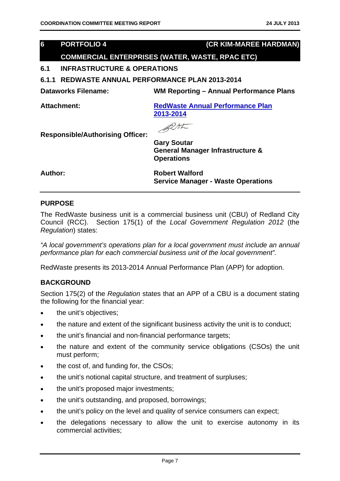#### **6 PORTFOLIO 4 (CR KIM-MAREE HARDMAN)**

#### **COMMERCIAL ENTERPRISES (WATER, WASTE, RPAC ETC)**

#### **6.1 INFRASTRUCTURE & OPERATIONS**

**6.1.1 REDWASTE ANNUAL PERFORMANCE PLAN 2013-2014** 

**Dataworks Filename: WM Reporting – Annual Performance Plans** 

**Attachment: RedWaste Annual Performance Plan 2013-2014**

BUSK

**Responsible/Authorising Officer:** 

**Gary Soutar General Manager Infrastructure & Operations** 

**Author: Robert Walford Service Manager - Waste Operations** 

#### **PURPOSE**

The RedWaste business unit is a commercial business unit (CBU) of Redland City Council (RCC). Section 175(1) of the *Local Government Regulation 2012* (the *Regulation*) states:

*"A local government's operations plan for a local government must include an annual performance plan for each commercial business unit of the local government".*

RedWaste presents its 2013-2014 Annual Performance Plan (APP) for adoption.

#### **BACKGROUND**

Section 175(2) of the *Regulation* states that an APP of a CBU is a document stating the following for the financial year:

- the unit's objectives;
- the nature and extent of the significant business activity the unit is to conduct;
- the unit's financial and non-financial performance targets;
- the nature and extent of the community service obligations (CSOs) the unit must perform;
- the cost of, and funding for, the CSOs;
- the unit's notional capital structure, and treatment of surpluses;
- the unit's proposed major investments;
- the unit's outstanding, and proposed, borrowings;
- the unit's policy on the level and quality of service consumers can expect;
- the delegations necessary to allow the unit to exercise autonomy in its commercial activities;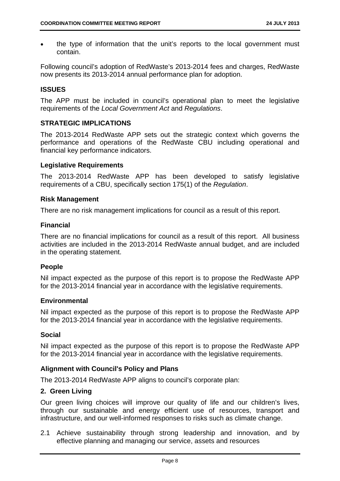the type of information that the unit's reports to the local government must contain.

Following council's adoption of RedWaste's 2013-2014 fees and charges, RedWaste now presents its 2013-2014 annual performance plan for adoption.

#### **ISSUES**

The APP must be included in council's operational plan to meet the legislative requirements of the *Local Government Act* and *Regulations*.

#### **STRATEGIC IMPLICATIONS**

The 2013-2014 RedWaste APP sets out the strategic context which governs the performance and operations of the RedWaste CBU including operational and financial key performance indicators.

#### **Legislative Requirements**

The 2013-2014 RedWaste APP has been developed to satisfy legislative requirements of a CBU, specifically section 175(1) of the *Regulation*.

#### **Risk Management**

There are no risk management implications for council as a result of this report.

#### **Financial**

There are no financial implications for council as a result of this report. All business activities are included in the 2013-2014 RedWaste annual budget, and are included in the operating statement.

#### **People**

Nil impact expected as the purpose of this report is to propose the RedWaste APP for the 2013-2014 financial year in accordance with the legislative requirements.

#### **Environmental**

Nil impact expected as the purpose of this report is to propose the RedWaste APP for the 2013-2014 financial year in accordance with the legislative requirements.

#### **Social**

Nil impact expected as the purpose of this report is to propose the RedWaste APP for the 2013-2014 financial year in accordance with the legislative requirements.

#### **Alignment with Council's Policy and Plans**

The 2013-2014 RedWaste APP aligns to council's corporate plan:

#### **2. Green Living**

Our green living choices will improve our quality of life and our children's lives, through our sustainable and energy efficient use of resources, transport and infrastructure, and our well-informed responses to risks such as climate change.

2.1 Achieve sustainability through strong leadership and innovation, and by effective planning and managing our service, assets and resources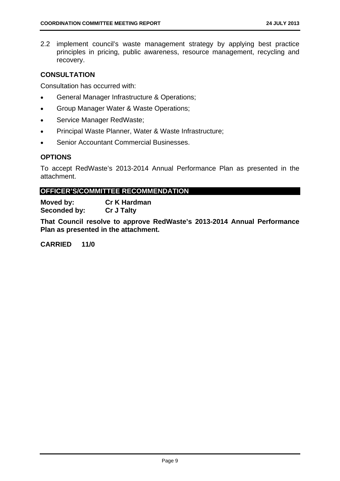2.2 implement council's waste management strategy by applying best practice principles in pricing, public awareness, resource management, recycling and recovery.

#### **CONSULTATION**

Consultation has occurred with:

- General Manager Infrastructure & Operations;
- Group Manager Water & Waste Operations;
- Service Manager RedWaste;
- Principal Waste Planner, Water & Waste Infrastructure;
- Senior Accountant Commercial Businesses.

#### **OPTIONS**

To accept RedWaste's 2013-2014 Annual Performance Plan as presented in the attachment.

#### **OFFICER'S/COMMITTEE RECOMMENDATION**

**Moved by: Cr K Hardman Seconded by: Cr J Talty** 

**That Council resolve to approve RedWaste's 2013-2014 Annual Performance Plan as presented in the attachment.**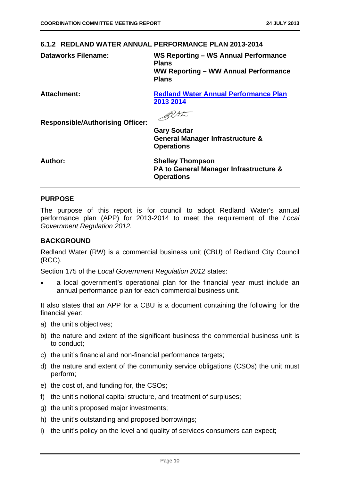#### **6.1.2 REDLAND WATER ANNUAL PERFORMANCE PLAN 2013-2014**

**Dataworks Filename: WS Reporting – WS Annual Performance Plans WW Reporting – WW Annual Performance Plans** 

**Attachment: Redland Water Annual Performance Plan 2013 2014**

BUSK

**Responsible/Authorising Officer:** 

**Gary Soutar General Manager Infrastructure & Operations** 

**Author: Shelley Thompson PA to General Manager Infrastructure & Operations** 

#### **PURPOSE**

The purpose of this report is for council to adopt Redland Water's annual performance plan (APP) for 2013-2014 to meet the requirement of the *Local Government Regulation 2012.* 

#### **BACKGROUND**

Redland Water (RW) is a commercial business unit (CBU) of Redland City Council (RCC).

Section 175 of the *Local Government Regulation 2012* states:

 a local government's operational plan for the financial year must include an annual performance plan for each commercial business unit.

It also states that an APP for a CBU is a document containing the following for the financial year:

- a) the unit's objectives;
- b) the nature and extent of the significant business the commercial business unit is to conduct;
- c) the unit's financial and non-financial performance targets;
- d) the nature and extent of the community service obligations (CSOs) the unit must perform;
- e) the cost of, and funding for, the CSOs;
- f) the unit's notional capital structure, and treatment of surpluses;
- g) the unit's proposed major investments;
- h) the unit's outstanding and proposed borrowings;
- i) the unit's policy on the level and quality of services consumers can expect;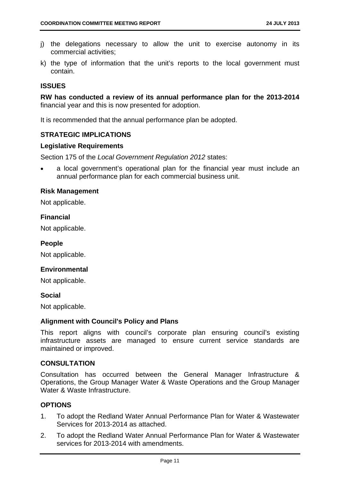- j) the delegations necessary to allow the unit to exercise autonomy in its commercial activities;
- k) the type of information that the unit's reports to the local government must contain.

#### **ISSUES**

**RW has conducted a review of its annual performance plan for the 2013-2014** financial year and this is now presented for adoption.

It is recommended that the annual performance plan be adopted.

#### **STRATEGIC IMPLICATIONS**

#### **Legislative Requirements**

Section 175 of the *Local Government Regulation 2012* states:

 a local government's operational plan for the financial year must include an annual performance plan for each commercial business unit.

#### **Risk Management**

Not applicable.

#### **Financial**

Not applicable.

#### **People**

Not applicable.

#### **Environmental**

Not applicable.

#### **Social**

Not applicable.

#### **Alignment with Council's Policy and Plans**

This report aligns with council's corporate plan ensuring council's existing infrastructure assets are managed to ensure current service standards are maintained or improved.

#### **CONSULTATION**

Consultation has occurred between the General Manager Infrastructure & Operations, the Group Manager Water & Waste Operations and the Group Manager Water & Waste Infrastructure.

#### **OPTIONS**

- 1. To adopt the Redland Water Annual Performance Plan for Water & Wastewater Services for 2013-2014 as attached.
- 2. To adopt the Redland Water Annual Performance Plan for Water & Wastewater services for 2013-2014 with amendments.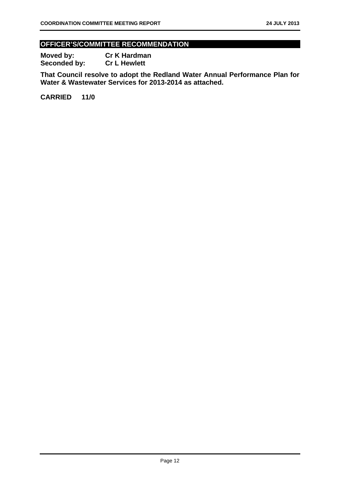#### **OFFICER'S/COMMITTEE RECOMMENDATION**

**Moved by: Cr K Hardman Seconded by: Cr L Hewlett** 

**That Council resolve to adopt the Redland Water Annual Performance Plan for Water & Wastewater Services for 2013-2014 as attached.**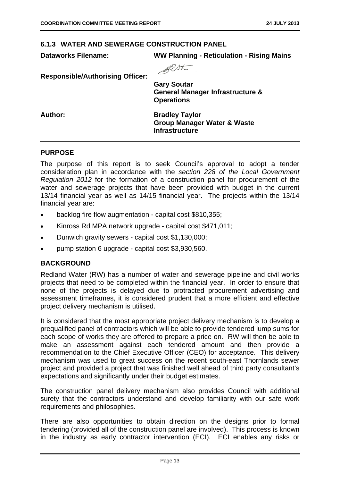#### **6.1.3 WATER AND SEWERAGE CONSTRUCTION PANEL**

#### **Dataworks Filename: WW Planning - Reticulation - Rising Mains**



**Responsible/Authorising Officer:** 

**Gary Soutar General Manager Infrastructure & Operations** 

**Author: Bradley Taylor Group Manager Water & Waste Infrastructure** 

#### **PURPOSE**

The purpose of this report is to seek Council's approval to adopt a tender consideration plan in accordance with the *section 228 of the Local Government Regulation 2012* for the formation of a construction panel for procurement of the water and sewerage projects that have been provided with budget in the current 13/14 financial year as well as 14/15 financial year. The projects within the 13/14 financial year are:

- backlog fire flow augmentation capital cost \$810,355;
- Kinross Rd MPA network upgrade capital cost \$471,011;
- Dunwich gravity sewers capital cost \$1,130,000;
- pump station 6 upgrade capital cost \$3,930,560.

#### **BACKGROUND**

Redland Water (RW) has a number of water and sewerage pipeline and civil works projects that need to be completed within the financial year. In order to ensure that none of the projects is delayed due to protracted procurement advertising and assessment timeframes, it is considered prudent that a more efficient and effective project delivery mechanism is utilised.

It is considered that the most appropriate project delivery mechanism is to develop a prequalified panel of contractors which will be able to provide tendered lump sums for each scope of works they are offered to prepare a price on. RW will then be able to make an assessment against each tendered amount and then provide a recommendation to the Chief Executive Officer (CEO) for acceptance. This delivery mechanism was used to great success on the recent south-east Thornlands sewer project and provided a project that was finished well ahead of third party consultant's expectations and significantly under their budget estimates.

The construction panel delivery mechanism also provides Council with additional surety that the contractors understand and develop familiarity with our safe work requirements and philosophies.

There are also opportunities to obtain direction on the designs prior to formal tendering (provided all of the construction panel are involved). This process is known in the industry as early contractor intervention (ECI). ECI enables any risks or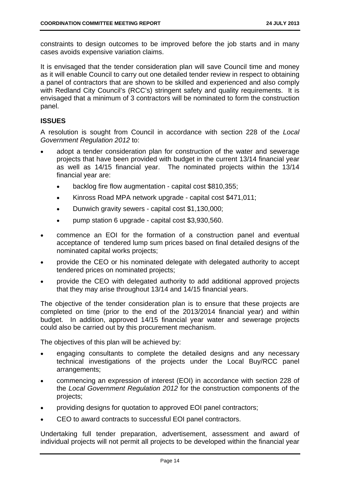constraints to design outcomes to be improved before the job starts and in many cases avoids expensive variation claims.

It is envisaged that the tender consideration plan will save Council time and money as it will enable Council to carry out one detailed tender review in respect to obtaining a panel of contractors that are shown to be skilled and experienced and also comply with Redland City Council's (RCC's) stringent safety and quality requirements. It is envisaged that a minimum of 3 contractors will be nominated to form the construction panel.

#### **ISSUES**

A resolution is sought from Council in accordance with section 228 of the *Local Government Regulation 2012* to:

- adopt a tender consideration plan for construction of the water and sewerage projects that have been provided with budget in the current 13/14 financial year as well as 14/15 financial year. The nominated projects within the 13/14 financial year are:
	- backlog fire flow augmentation capital cost \$810,355;
	- Kinross Road MPA network upgrade capital cost \$471,011;
	- Dunwich gravity sewers capital cost \$1,130,000;
	- pump station 6 upgrade capital cost \$3,930,560.
- commence an EOI for the formation of a construction panel and eventual acceptance of tendered lump sum prices based on final detailed designs of the nominated capital works projects;
- provide the CEO or his nominated delegate with delegated authority to accept tendered prices on nominated projects;
- provide the CEO with delegated authority to add additional approved projects that they may arise throughout 13/14 and 14/15 financial years.

The objective of the tender consideration plan is to ensure that these projects are completed on time (prior to the end of the 2013/2014 financial year) and within budget. In addition, approved 14/15 financial year water and sewerage projects could also be carried out by this procurement mechanism.

The objectives of this plan will be achieved by:

- engaging consultants to complete the detailed designs and any necessary technical investigations of the projects under the Local Buy/RCC panel arrangements;
- commencing an expression of interest (EOI) in accordance with section 228 of the *Local Government Regulation 2012* for the construction components of the projects;
- providing designs for quotation to approved EOI panel contractors;
- CEO to award contracts to successful EOI panel contractors.

Undertaking full tender preparation, advertisement, assessment and award of individual projects will not permit all projects to be developed within the financial year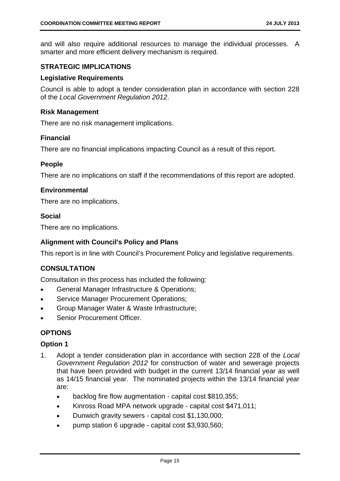and will also require additional resources to manage the individual processes. A smarter and more efficient delivery mechanism is required.

#### **STRATEGIC IMPLICATIONS**

#### **Legislative Requirements**

Council is able to adopt a tender consideration plan in accordance with section 228 of the *Local Government Regulation 2012*.

#### **Risk Management**

There are no risk management implications.

#### **Financial**

There are no financial implications impacting Council as a result of this report.

#### **People**

There are no implications on staff if the recommendations of this report are adopted.

#### **Environmental**

There are no implications.

#### **Social**

There are no implications.

#### **Alignment with Council's Policy and Plans**

This report is in line with Council's Procurement Policy and legislative requirements.

#### **CONSULTATION**

Consultation in this process has included the following:

- General Manager Infrastructure & Operations;
- **Service Manager Procurement Operations;**
- Group Manager Water & Waste Infrastructure;
- Senior Procurement Officer.

#### **OPTIONS**

#### **Option 1**

- 1. Adopt a tender consideration plan in accordance with section 228 of the *Local Government Regulation 2012* for construction of water and sewerage projects that have been provided with budget in the current 13/14 financial year as well as 14/15 financial year. The nominated projects within the 13/14 financial year are:
	- backlog fire flow augmentation capital cost \$810,355;
	- Kinross Road MPA network upgrade capital cost \$471,011;
	- Dunwich gravity sewers capital cost \$1,130,000;
	- pump station 6 upgrade capital cost \$3,930,560;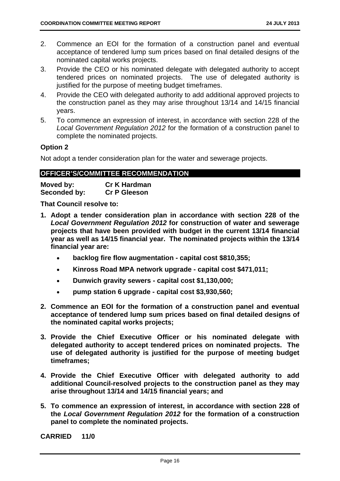- 2. Commence an EOI for the formation of a construction panel and eventual acceptance of tendered lump sum prices based on final detailed designs of the nominated capital works projects.
- 3. Provide the CEO or his nominated delegate with delegated authority to accept tendered prices on nominated projects. The use of delegated authority is justified for the purpose of meeting budget timeframes.
- 4. Provide the CEO with delegated authority to add additional approved projects to the construction panel as they may arise throughout 13/14 and 14/15 financial years.
- 5. To commence an expression of interest, in accordance with section 228 of the *Local Government Regulation 2012* for the formation of a construction panel to complete the nominated projects.

#### **Option 2**

Not adopt a tender consideration plan for the water and sewerage projects.

#### **OFFICER'S/COMMITTEE RECOMMENDATION**

| Moved by:    | <b>Cr K Hardman</b> |
|--------------|---------------------|
| Seconded by: | <b>Cr P Gleeson</b> |

**That Council resolve to:** 

- **1. Adopt a tender consideration plan in accordance with section 228 of the**  *Local Government Regulation 2012* **for construction of water and sewerage projects that have been provided with budget in the current 13/14 financial year as well as 14/15 financial year. The nominated projects within the 13/14 financial year are:** 
	- **backlog fire flow augmentation capital cost \$810,355;**
	- **Kinross Road MPA network upgrade capital cost \$471,011;**
	- **Dunwich gravity sewers capital cost \$1,130,000;**
	- **pump station 6 upgrade capital cost \$3,930,560;**
- **2. Commence an EOI for the formation of a construction panel and eventual acceptance of tendered lump sum prices based on final detailed designs of the nominated capital works projects;**
- **3. Provide the Chief Executive Officer or his nominated delegate with delegated authority to accept tendered prices on nominated projects. The use of delegated authority is justified for the purpose of meeting budget timeframes;**
- **4. Provide the Chief Executive Officer with delegated authority to add additional Council-resolved projects to the construction panel as they may arise throughout 13/14 and 14/15 financial years; and**
- **5. To commence an expression of interest, in accordance with section 228 of the** *Local Government Regulation 2012* **for the formation of a construction panel to complete the nominated projects.**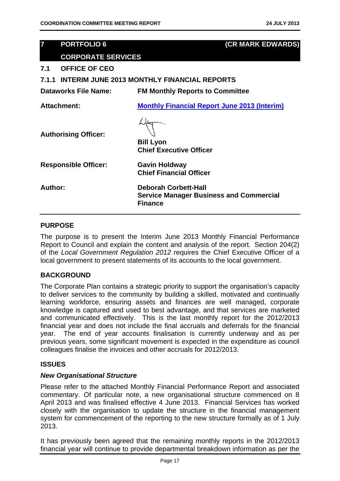## **7 PORTFOLIO 6 (CR MARK EDWARDS) CORPORATE SERVICES 7.1 OFFICE OF CEO 7.1.1 INTERIM JUNE 2013 MONTHLY FINANCIAL REPORTS Dataworks File Name: FM Monthly Reports to Committee Attachment: Monthly Financial Report June 2013 (Interim) Authorising Officer: Bill Lyon Chief Executive Officer Responsible Officer: Gavin Holdway Chief Financial Officer Author: Deborah Corbett-Hall Service Manager Business and Commercial Finance**

#### **PURPOSE**

The purpose is to present the Interim June 2013 Monthly Financial Performance Report to Council and explain the content and analysis of the report. Section 204(2) of the *Local Government Regulation 2012* requires the Chief Executive Officer of a local government to present statements of its accounts to the local government.

#### **BACKGROUND**

The Corporate Plan contains a strategic priority to support the organisation's capacity to deliver services to the community by building a skilled, motivated and continually learning workforce, ensuring assets and finances are well managed, corporate knowledge is captured and used to best advantage, and that services are marketed and communicated effectively. This is the last monthly report for the 2012/2013 financial year and does not include the final accruals and deferrals for the financial year. The end of year accounts finalisation is currently underway and as per previous years, some significant movement is expected in the expenditure as council colleagues finalise the invoices and other accruals for 2012/2013.

#### **ISSUES**

#### *New Organisational Structure*

Please refer to the attached Monthly Financial Performance Report and associated commentary. Of particular note, a new organisational structure commenced on 8 April 2013 and was finalised effective 4 June 2013. Financial Services has worked closely with the organisation to update the structure in the financial management system for commencement of the reporting to the new structure formally as of 1 July 2013.

It has previously been agreed that the remaining monthly reports in the 2012/2013 financial year will continue to provide departmental breakdown information as per the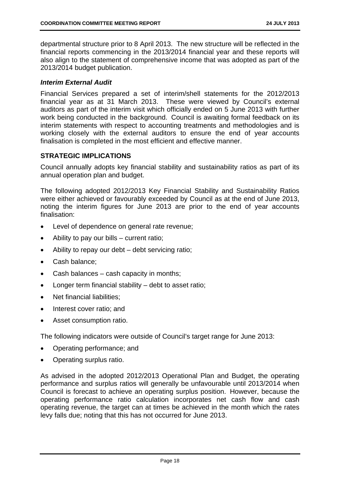departmental structure prior to 8 April 2013. The new structure will be reflected in the financial reports commencing in the 2013/2014 financial year and these reports will also align to the statement of comprehensive income that was adopted as part of the 2013/2014 budget publication.

#### *Interim External Audit*

Financial Services prepared a set of interim/shell statements for the 2012/2013 financial year as at 31 March 2013. These were viewed by Council's external auditors as part of the interim visit which officially ended on 5 June 2013 with further work being conducted in the background. Council is awaiting formal feedback on its interim statements with respect to accounting treatments and methodologies and is working closely with the external auditors to ensure the end of year accounts finalisation is completed in the most efficient and effective manner.

#### **STRATEGIC IMPLICATIONS**

Council annually adopts key financial stability and sustainability ratios as part of its annual operation plan and budget.

The following adopted 2012/2013 Key Financial Stability and Sustainability Ratios were either achieved or favourably exceeded by Council as at the end of June 2013, noting the interim figures for June 2013 are prior to the end of year accounts finalisation:

- Level of dependence on general rate revenue;
- Ability to pay our bills current ratio;
- Ability to repay our debt debt servicing ratio;
- Cash balance:
- Cash balances cash capacity in months;
- Longer term financial stability debt to asset ratio;
- Net financial liabilities;
- Interest cover ratio; and
- Asset consumption ratio.

The following indicators were outside of Council's target range for June 2013:

- Operating performance; and
- Operating surplus ratio.

As advised in the adopted 2012/2013 Operational Plan and Budget, the operating performance and surplus ratios will generally be unfavourable until 2013/2014 when Council is forecast to achieve an operating surplus position. However, because the operating performance ratio calculation incorporates net cash flow and cash operating revenue, the target can at times be achieved in the month which the rates levy falls due; noting that this has not occurred for June 2013.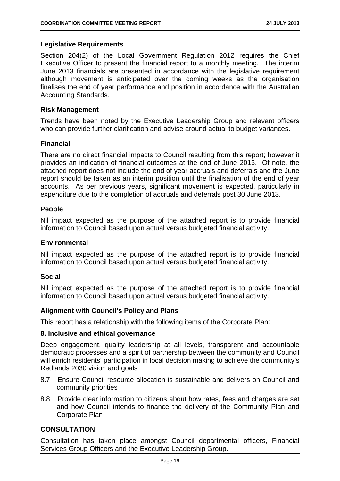#### **Legislative Requirements**

Section 204(2) of the Local Government Regulation 2012 requires the Chief Executive Officer to present the financial report to a monthly meeting. The interim June 2013 financials are presented in accordance with the legislative requirement although movement is anticipated over the coming weeks as the organisation finalises the end of year performance and position in accordance with the Australian Accounting Standards.

#### **Risk Management**

Trends have been noted by the Executive Leadership Group and relevant officers who can provide further clarification and advise around actual to budget variances.

#### **Financial**

There are no direct financial impacts to Council resulting from this report; however it provides an indication of financial outcomes at the end of June 2013. Of note, the attached report does not include the end of year accruals and deferrals and the June report should be taken as an interim position until the finalisation of the end of year accounts. As per previous years, significant movement is expected, particularly in expenditure due to the completion of accruals and deferrals post 30 June 2013.

#### **People**

Nil impact expected as the purpose of the attached report is to provide financial information to Council based upon actual versus budgeted financial activity.

#### **Environmental**

Nil impact expected as the purpose of the attached report is to provide financial information to Council based upon actual versus budgeted financial activity.

#### **Social**

Nil impact expected as the purpose of the attached report is to provide financial information to Council based upon actual versus budgeted financial activity.

#### **Alignment with Council's Policy and Plans**

This report has a relationship with the following items of the Corporate Plan:

#### **8. Inclusive and ethical governance**

Deep engagement, quality leadership at all levels, transparent and accountable democratic processes and a spirit of partnership between the community and Council will enrich residents' participation in local decision making to achieve the community's Redlands 2030 vision and goals

- 8.7 Ensure Council resource allocation is sustainable and delivers on Council and community priorities
- 8.8 Provide clear information to citizens about how rates, fees and charges are set and how Council intends to finance the delivery of the Community Plan and Corporate Plan

#### **CONSULTATION**

Consultation has taken place amongst Council departmental officers, Financial Services Group Officers and the Executive Leadership Group.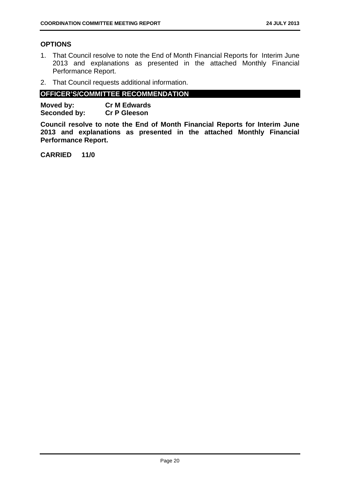#### **OPTIONS**

- 1. That Council resolve to note the End of Month Financial Reports for Interim June 2013 and explanations as presented in the attached Monthly Financial Performance Report.
- 2. That Council requests additional information.

#### **OFFICER'S/COMMITTEE RECOMMENDATION**

| Moved by:    | <b>Cr M Edwards</b> |
|--------------|---------------------|
| Seconded by: | <b>Cr P Gleeson</b> |

**Council resolve to note the End of Month Financial Reports for Interim June 2013 and explanations as presented in the attached Monthly Financial Performance Report.**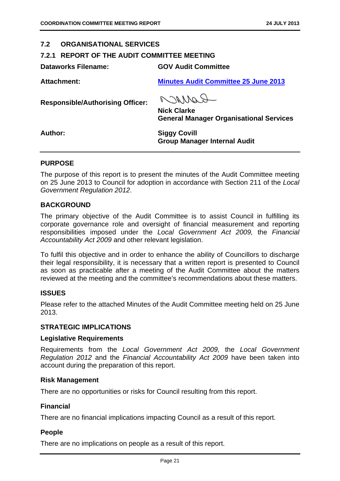#### **7.2 ORGANISATIONAL SERVICES**

#### **7.2.1 REPORT OF THE AUDIT COMMITTEE MEETING**

**Dataworks Filename: GOV Audit Committee** 

**Attachment: Minutes Audit Committee 25 June 2013**

**Responsible/Authorising Officer:** 

Raynon

**Nick Clarke General Manager Organisational Services** 

**Author: Siggy Covill Group Manager Internal Audit** 

#### **PURPOSE**

The purpose of this report is to present the minutes of the Audit Committee meeting on 25 June 2013 to Council for adoption in accordance with Section 211 of the *Local Government Regulation 2012*.

#### **BACKGROUND**

The primary objective of the Audit Committee is to assist Council in fulfilling its corporate governance role and oversight of financial measurement and reporting responsibilities imposed under the *Local Government Act 2009,* the *Financial Accountability Act 2009* and other relevant legislation.

To fulfil this objective and in order to enhance the ability of Councillors to discharge their legal responsibility, it is necessary that a written report is presented to Council as soon as practicable after a meeting of the Audit Committee about the matters reviewed at the meeting and the committee's recommendations about these matters.

#### **ISSUES**

Please refer to the attached Minutes of the Audit Committee meeting held on 25 June 2013.

#### **STRATEGIC IMPLICATIONS**

#### **Legislative Requirements**

Requirements from the *Local Government Act 2009,* the *Local Government Regulation 2012* and the *Financial Accountability Act 2009* have been taken into account during the preparation of this report.

#### **Risk Management**

There are no opportunities or risks for Council resulting from this report.

#### **Financial**

There are no financial implications impacting Council as a result of this report.

#### **People**

There are no implications on people as a result of this report.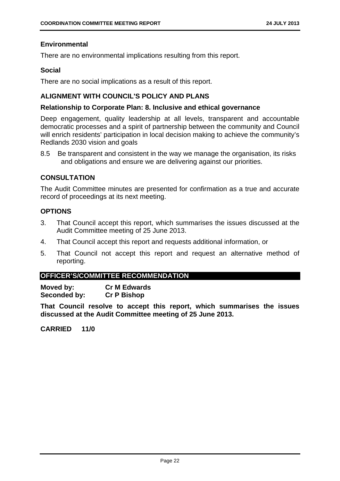#### **Environmental**

There are no environmental implications resulting from this report.

#### **Social**

There are no social implications as a result of this report.

#### **ALIGNMENT WITH COUNCIL'S POLICY AND PLANS**

#### **Relationship to Corporate Plan: 8. Inclusive and ethical governance**

Deep engagement, quality leadership at all levels, transparent and accountable democratic processes and a spirit of partnership between the community and Council will enrich residents' participation in local decision making to achieve the community's Redlands 2030 vision and goals

8.5 Be transparent and consistent in the way we manage the organisation, its risks and obligations and ensure we are delivering against our priorities.

#### **CONSULTATION**

The Audit Committee minutes are presented for confirmation as a true and accurate record of proceedings at its next meeting.

#### **OPTIONS**

- 3. That Council accept this report, which summarises the issues discussed at the Audit Committee meeting of 25 June 2013.
- 4. That Council accept this report and requests additional information, or
- 5. That Council not accept this report and request an alternative method of reporting.

#### **OFFICER'S/COMMITTEE RECOMMENDATION**

**Moved by: Cr M Edwards Seconded by: Cr P Bishop** 

**That Council resolve to accept this report, which summarises the issues discussed at the Audit Committee meeting of 25 June 2013.**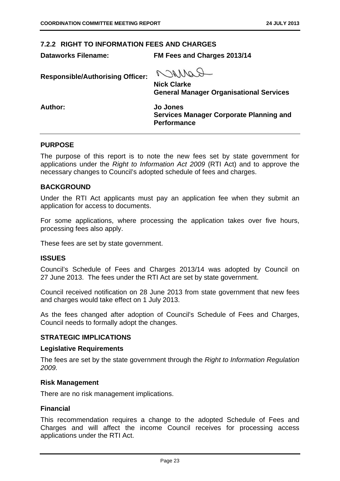#### **7.2.2 RIGHT TO INFORMATION FEES AND CHARGES**

**Dataworks Filename: FM Fees and Charges 2013/14** 

**Responsible/Authorising Officer:** 

GORARD

**Nick Clarke General Manager Organisational Services** 

**Author: Jo Jones** 

**Services Manager Corporate Planning and Performance** 

#### **PURPOSE**

The purpose of this report is to note the new fees set by state government for applications under the *Right to Information Act 2009* (RTI Act) and to approve the necessary changes to Council's adopted schedule of fees and charges.

#### **BACKGROUND**

Under the RTI Act applicants must pay an application fee when they submit an application for access to documents.

For some applications, where processing the application takes over five hours, processing fees also apply.

These fees are set by state government.

#### **ISSUES**

Council's Schedule of Fees and Charges 2013/14 was adopted by Council on 27 June 2013. The fees under the RTI Act are set by state government.

Council received notification on 28 June 2013 from state government that new fees and charges would take effect on 1 July 2013.

As the fees changed after adoption of Council's Schedule of Fees and Charges, Council needs to formally adopt the changes.

#### **STRATEGIC IMPLICATIONS**

#### **Legislative Requirements**

The fees are set by the state government through the *Right to Information Regulation 2009.* 

#### **Risk Management**

There are no risk management implications.

#### **Financial**

This recommendation requires a change to the adopted Schedule of Fees and Charges and will affect the income Council receives for processing access applications under the RTI Act.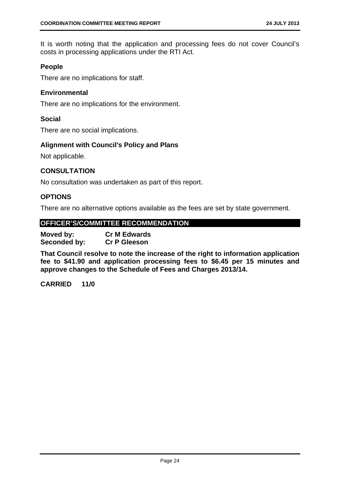It is worth noting that the application and processing fees do not cover Council's costs in processing applications under the RTI Act.

#### **People**

There are no implications for staff.

#### **Environmental**

There are no implications for the environment.

#### **Social**

There are no social implications.

#### **Alignment with Council's Policy and Plans**

Not applicable.

#### **CONSULTATION**

No consultation was undertaken as part of this report.

#### **OPTIONS**

There are no alternative options available as the fees are set by state government.

#### **OFFICER'S/COMMITTEE RECOMMENDATION**

**Moved by: Cr M Edwards Seconded by: Cr P Gleeson** 

**That Council resolve to note the increase of the right to information application fee to \$41.90 and application processing fees to \$6.45 per 15 minutes and approve changes to the Schedule of Fees and Charges 2013/14.**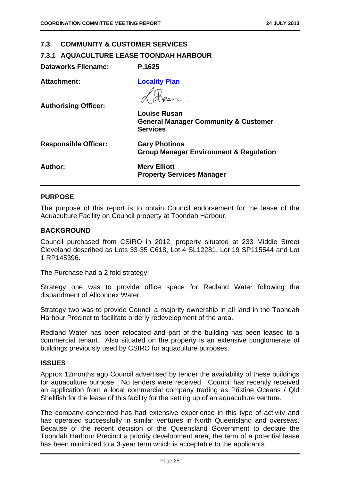#### **7.3 COMMUNITY & CUSTOMER SERVICES**

#### **7.3.1 AQUACULTURE LEASE TOONDAH HARBOUR**

| <b>Dataworks Filename:</b>  | P.1625                                                                                    |
|-----------------------------|-------------------------------------------------------------------------------------------|
| Attachment:                 | <b>Locality Plan</b>                                                                      |
| <b>Authorising Officer:</b> | <b>Louise Rusan</b><br><b>General Manager Community &amp; Customer</b><br><b>Services</b> |
| <b>Responsible Officer:</b> | <b>Gary Photinos</b><br><b>Group Manager Environment &amp; Regulation</b>                 |
| Author:                     | <b>Merv Elliott</b><br><b>Property Services Manager</b>                                   |

#### **PURPOSE**

The purpose of this report is to obtain Council endorsement for the lease of the Aquaculture Facility on Council property at Toondah Harbour.

#### **BACKGROUND**

Council purchased from CSIRO in 2012, property situated at 233 Middle Street Cleveland described as Lots 33-35 C618, Lot 4 SL12281, Lot 19 SP115544 and Lot 1 RP145396.

The Purchase had a 2 fold strategy:

Strategy one was to provide office space for Redland Water following the disbandment of Allconnex Water.

Strategy two was to provide Council a majority ownership in all land in the Toondah Harbour Precinct to facilitate orderly redevelopment of the area.

Redland Water has been relocated and part of the building has been leased to a commercial tenant. Also situated on the property is an extensive conglomerate of buildings previously used by CSIRO for aquaculture purposes.

#### **ISSUES**

Approx 12months ago Council advertised by tender the availability of these buildings for aquaculture purpose. No tenders were received. Council has recently received an application from a local commercial company trading as Pristine Oceans / Qld Shellfish for the lease of this facility for the setting up of an aquaculture venture.

The company concerned has had extensive experience in this type of activity and has operated successfully in similar ventures in North Queensland and overseas. Because of the recent decision of the Queensland Government to declare the Toondah Harbour Precinct a priority development area, the term of a potential lease has been minimized to a 3 year term which is acceptable to the applicants.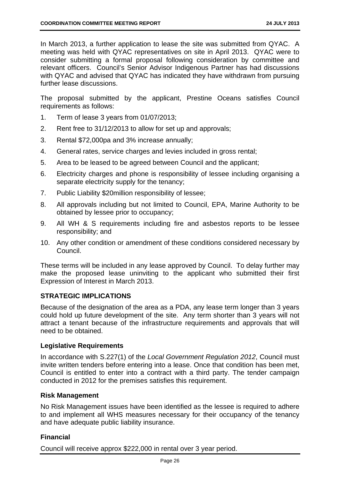In March 2013, a further application to lease the site was submitted from QYAC. A meeting was held with QYAC representatives on site in April 2013. QYAC were to consider submitting a formal proposal following consideration by committee and relevant officers. Council's Senior Advisor Indigenous Partner has had discussions with QYAC and advised that QYAC has indicated they have withdrawn from pursuing further lease discussions.

The proposal submitted by the applicant, Prestine Oceans satisfies Council requirements as follows:

- 1. Term of lease 3 years from 01/07/2013;
- 2. Rent free to 31/12/2013 to allow for set up and approvals;
- 3. Rental \$72,000pa and 3% increase annually;
- 4. General rates, service charges and levies included in gross rental;
- 5. Area to be leased to be agreed between Council and the applicant;
- 6. Electricity charges and phone is responsibility of lessee including organising a separate electricity supply for the tenancy;
- 7. Public Liability \$20million responsibility of lessee;
- 8. All approvals including but not limited to Council, EPA, Marine Authority to be obtained by lessee prior to occupancy;
- 9. All WH & S requirements including fire and asbestos reports to be lessee responsibility; and
- 10. Any other condition or amendment of these conditions considered necessary by Council.

These terms will be included in any lease approved by Council. To delay further may make the proposed lease uninviting to the applicant who submitted their first Expression of Interest in March 2013.

#### **STRATEGIC IMPLICATIONS**

Because of the designation of the area as a PDA, any lease term longer than 3 years could hold up future development of the site. Any term shorter than 3 years will not attract a tenant because of the infrastructure requirements and approvals that will need to be obtained.

#### **Legislative Requirements**

In accordance with S.227(1) of the *Local Government Regulation 2012*, Council must invite written tenders before entering into a lease. Once that condition has been met, Council is entitled to enter into a contract with a third party. The tender campaign conducted in 2012 for the premises satisfies this requirement.

#### **Risk Management**

No Risk Management issues have been identified as the lessee is required to adhere to and implement all WHS measures necessary for their occupancy of the tenancy and have adequate public liability insurance.

#### **Financial**

Council will receive approx \$222,000 in rental over 3 year period.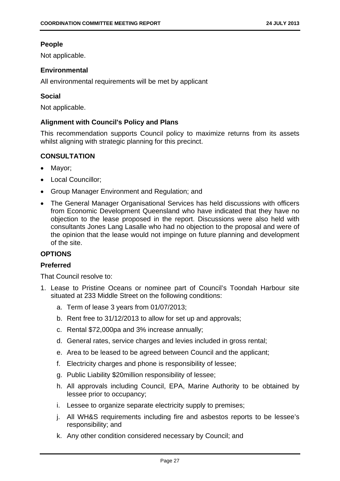#### **People**

Not applicable.

#### **Environmental**

All environmental requirements will be met by applicant

#### **Social**

Not applicable.

#### **Alignment with Council's Policy and Plans**

This recommendation supports Council policy to maximize returns from its assets whilst aligning with strategic planning for this precinct.

#### **CONSULTATION**

- Mayor;
- Local Councillor:
- Group Manager Environment and Regulation; and
- The General Manager Organisational Services has held discussions with officers from Economic Development Queensland who have indicated that they have no objection to the lease proposed in the report. Discussions were also held with consultants Jones Lang Lasalle who had no objection to the proposal and were of the opinion that the lease would not impinge on future planning and development of the site.

#### **OPTIONS**

#### **Preferred**

That Council resolve to:

- 1. Lease to Pristine Oceans or nominee part of Council's Toondah Harbour site situated at 233 Middle Street on the following conditions:
	- a. Term of lease 3 years from 01/07/2013;
	- b. Rent free to 31/12/2013 to allow for set up and approvals;
	- c. Rental \$72,000pa and 3% increase annually;
	- d. General rates, service charges and levies included in gross rental;
	- e. Area to be leased to be agreed between Council and the applicant;
	- f. Electricity charges and phone is responsibility of lessee;
	- g. Public Liability \$20million responsibility of lessee;
	- h. All approvals including Council, EPA, Marine Authority to be obtained by lessee prior to occupancy;
	- i. Lessee to organize separate electricity supply to premises;
	- j. All WH&S requirements including fire and asbestos reports to be lessee's responsibility; and
	- k. Any other condition considered necessary by Council; and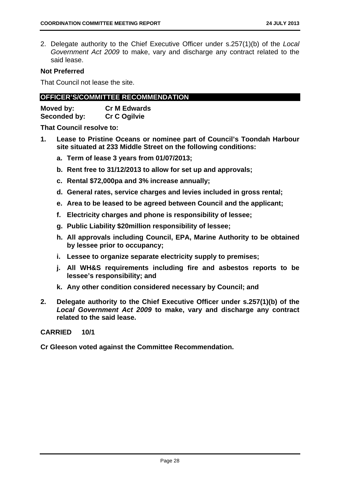2. Delegate authority to the Chief Executive Officer under s.257(1)(b) of the *Local Government Act 2009* to make, vary and discharge any contract related to the said lease.

#### **Not Preferred**

That Council not lease the site.

#### **OFFICER'S/COMMITTEE RECOMMENDATION**

| Moved by:    | <b>Cr M Edwards</b> |
|--------------|---------------------|
| Seconded by: | <b>Cr C Ogilvie</b> |

**That Council resolve to:** 

- **1. Lease to Pristine Oceans or nominee part of Council's Toondah Harbour site situated at 233 Middle Street on the following conditions:** 
	- **a. Term of lease 3 years from 01/07/2013;**
	- **b. Rent free to 31/12/2013 to allow for set up and approvals;**
	- **c. Rental \$72,000pa and 3% increase annually;**
	- **d. General rates, service charges and levies included in gross rental;**
	- **e. Area to be leased to be agreed between Council and the applicant;**
	- **f. Electricity charges and phone is responsibility of lessee;**
	- **g. Public Liability \$20million responsibility of lessee;**
	- **h. All approvals including Council, EPA, Marine Authority to be obtained by lessee prior to occupancy;**
	- **i. Lessee to organize separate electricity supply to premises;**
	- **j. All WH&S requirements including fire and asbestos reports to be lessee's responsibility; and**
	- **k. Any other condition considered necessary by Council; and**
- **2. Delegate authority to the Chief Executive Officer under s.257(1)(b) of the**  *Local Government Act 2009* **to make, vary and discharge any contract related to the said lease.**

#### **CARRIED 10/1**

**Cr Gleeson voted against the Committee Recommendation.**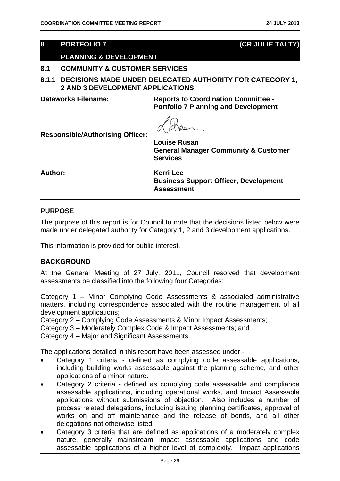#### **8 PORTFOLIO 7 (CR JULIE TALTY)**

#### **PLANNING & DEVELOPMENT**

#### **8.1 COMMUNITY & CUSTOMER SERVICES**

**8.1.1 DECISIONS MADE UNDER DELEGATED AUTHORITY FOR CATEGORY 1, 2 AND 3 DEVELOPMENT APPLICATIONS** 

**Dataworks Filename: Reports to Coordination Committee - Portfolio 7 Planning and Development** 

**Responsible/Authorising Officer:** 

**Louise Rusan General Manager Community & Customer Services** 

**Author: Kerri Lee** 

**Business Support Officer, Development Assessment** 

#### **PURPOSE**

The purpose of this report is for Council to note that the decisions listed below were made under delegated authority for Category 1, 2 and 3 development applications.

This information is provided for public interest.

#### **BACKGROUND**

At the General Meeting of 27 July, 2011, Council resolved that development assessments be classified into the following four Categories:

Category 1 – Minor Complying Code Assessments & associated administrative matters, including correspondence associated with the routine management of all development applications;

Category 2 – Complying Code Assessments & Minor Impact Assessments;

Category 3 – Moderately Complex Code & Impact Assessments; and

Category 4 – Major and Significant Assessments.

The applications detailed in this report have been assessed under:-

- Category 1 criteria defined as complying code assessable applications, including building works assessable against the planning scheme, and other applications of a minor nature.
- Category 2 criteria defined as complying code assessable and compliance assessable applications, including operational works, and Impact Assessable applications without submissions of objection. Also includes a number of process related delegations, including issuing planning certificates, approval of works on and off maintenance and the release of bonds, and all other delegations not otherwise listed.
- Category 3 criteria that are defined as applications of a moderately complex nature, generally mainstream impact assessable applications and code assessable applications of a higher level of complexity. Impact applications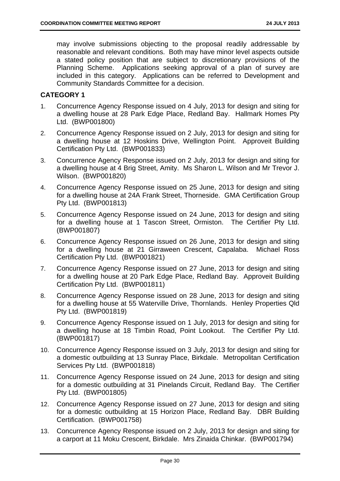may involve submissions objecting to the proposal readily addressable by reasonable and relevant conditions. Both may have minor level aspects outside a stated policy position that are subject to discretionary provisions of the Planning Scheme. Applications seeking approval of a plan of survey are included in this category. Applications can be referred to Development and Community Standards Committee for a decision.

#### **CATEGORY 1**

- 1. Concurrence Agency Response issued on 4 July, 2013 for design and siting for a dwelling house at 28 Park Edge Place, Redland Bay. Hallmark Homes Pty Ltd. (BWP001800)
- 2. Concurrence Agency Response issued on 2 July, 2013 for design and siting for a dwelling house at 12 Hoskins Drive, Wellington Point. Approveit Building Certification Pty Ltd. (BWP001833)
- 3. Concurrence Agency Response issued on 2 July, 2013 for design and siting for a dwelling house at 4 Brig Street, Amity. Ms Sharon L. Wilson and Mr Trevor J. Wilson. (BWP001820)
- 4. Concurrence Agency Response issued on 25 June, 2013 for design and siting for a dwelling house at 24A Frank Street, Thorneside. GMA Certification Group Pty Ltd. (BWP001813)
- 5. Concurrence Agency Response issued on 24 June, 2013 for design and siting for a dwelling house at 1 Tascon Street, Ormiston. The Certifier Pty Ltd. (BWP001807)
- 6. Concurrence Agency Response issued on 26 June, 2013 for design and siting for a dwelling house at 21 Girraween Crescent, Capalaba. Michael Ross Certification Pty Ltd. (BWP001821)
- 7. Concurrence Agency Response issued on 27 June, 2013 for design and siting for a dwelling house at 20 Park Edge Place, Redland Bay. Approveit Building Certification Pty Ltd. (BWP001811)
- 8. Concurrence Agency Response issued on 28 June, 2013 for design and siting for a dwelling house at 55 Waterville Drive, Thornlands. Henley Properties Qld Pty Ltd. (BWP001819)
- 9. Concurrence Agency Response issued on 1 July, 2013 for design and siting for a dwelling house at 18 Timbin Road, Point Lookout. The Certifier Pty Ltd. (BWP001817)
- 10. Concurrence Agency Response issued on 3 July, 2013 for design and siting for a domestic outbuilding at 13 Sunray Place, Birkdale. Metropolitan Certification Services Pty Ltd. (BWP001818)
- 11. Concurrence Agency Response issued on 24 June, 2013 for design and siting for a domestic outbuilding at 31 Pinelands Circuit, Redland Bay. The Certifier Pty Ltd. (BWP001805)
- 12. Concurrence Agency Response issued on 27 June, 2013 for design and siting for a domestic outbuilding at 15 Horizon Place, Redland Bay. DBR Building Certification. (BWP001758)
- 13. Concurrence Agency Response issued on 2 July, 2013 for design and siting for a carport at 11 Moku Crescent, Birkdale. Mrs Zinaida Chinkar. (BWP001794)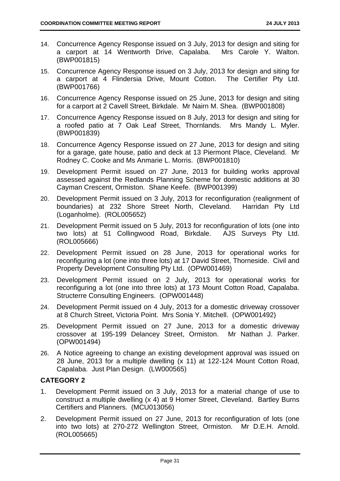- 14. Concurrence Agency Response issued on 3 July, 2013 for design and siting for a carport at 14 Wentworth Drive, Capalaba. Mrs Carole Y. Walton. (BWP001815)
- 15. Concurrence Agency Response issued on 3 July, 2013 for design and siting for a carport at 4 Flindersia Drive, Mount Cotton. The Certifier Pty Ltd. (BWP001766)
- 16. Concurrence Agency Response issued on 25 June, 2013 for design and siting for a carport at 2 Cavell Street, Birkdale. Mr Nairn M. Shea. (BWP001808)
- 17. Concurrence Agency Response issued on 8 July, 2013 for design and siting for a roofed patio at 7 Oak Leaf Street, Thornlands. Mrs Mandy L. Myler. (BWP001839)
- 18. Concurrence Agency Response issued on 27 June, 2013 for design and siting for a garage, gate house, patio and deck at 13 Piermont Place, Cleveland. Mr Rodney C. Cooke and Ms Anmarie L. Morris. (BWP001810)
- 19. Development Permit issued on 27 June, 2013 for building works approval assessed against the Redlands Planning Scheme for domestic additions at 30 Cayman Crescent, Ormiston. Shane Keefe. (BWP001399)
- 20. Development Permit issued on 3 July, 2013 for reconfiguration (realignment of boundaries) at 232 Shore Street North, Cleveland. Harridan Pty Ltd (Loganholme). (ROL005652)
- 21. Development Permit issued on 5 July, 2013 for reconfiguration of lots (one into two lots) at 51 Collingwood Road, Birkdale. AJS Surveys Pty Ltd. (ROL005666)
- 22. Development Permit issued on 28 June, 2013 for operational works for reconfiguring a lot (one into three lots) at 17 David Street, Thorneside. Civil and Property Development Consulting Pty Ltd. (OPW001469)
- 23. Development Permit issued on 2 July, 2013 for operational works for reconfiguring a lot (one into three lots) at 173 Mount Cotton Road, Capalaba. Structerre Consulting Engineers. (OPW001448)
- 24. Development Permit issued on 4 July, 2013 for a domestic driveway crossover at 8 Church Street, Victoria Point. Mrs Sonia Y. Mitchell. (OPW001492)
- 25. Development Permit issued on 27 June, 2013 for a domestic driveway crossover at 195-199 Delancey Street, Ormiston. Mr Nathan J. Parker. (OPW001494)
- 26. A Notice agreeing to change an existing development approval was issued on 28 June, 2013 for a multiple dwelling (x 11) at 122-124 Mount Cotton Road, Capalaba. Just Plan Design. (LW000565)

#### **CATEGORY 2**

- 1. Development Permit issued on 3 July, 2013 for a material change of use to construct a multiple dwelling (x 4) at 9 Homer Street, Cleveland. Bartley Burns Certifiers and Planners. (MCU013056)
- 2. Development Permit issued on 27 June, 2013 for reconfiguration of lots (one into two lots) at 270-272 Wellington Street, Ormiston. Mr D.E.H. Arnold. (ROL005665)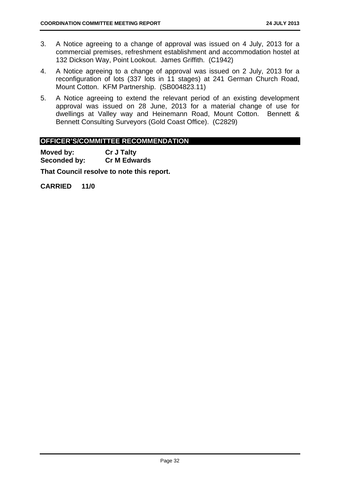- 3. A Notice agreeing to a change of approval was issued on 4 July, 2013 for a commercial premises, refreshment establishment and accommodation hostel at 132 Dickson Way, Point Lookout. James Griffith. (C1942)
- 4. A Notice agreeing to a change of approval was issued on 2 July, 2013 for a reconfiguration of lots (337 lots in 11 stages) at 241 German Church Road, Mount Cotton. KFM Partnership. (SB004823.11)
- 5. A Notice agreeing to extend the relevant period of an existing development approval was issued on 28 June, 2013 for a material change of use for dwellings at Valley way and Heinemann Road, Mount Cotton. Bennett & Bennett Consulting Surveyors (Gold Coast Office). (C2829)

#### **OFFICER'S/COMMITTEE RECOMMENDATION**

**Moved by: Cr J Talty Seconded by: Cr M Edwards** 

**That Council resolve to note this report.**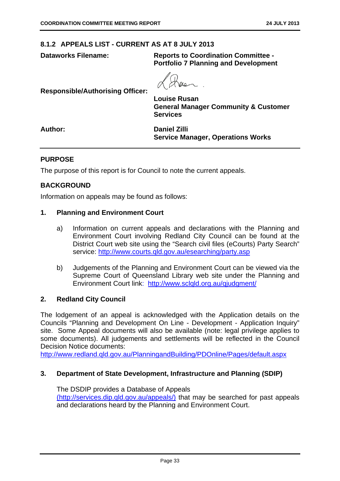#### **8.1.2 APPEALS LIST - CURRENT AS AT 8 JULY 2013**

**Dataworks Filename: Reports to Coordination Committee - Portfolio 7 Planning and Development** 

**Responsible/Authorising Officer:** 

**Louise Rusan General Manager Community & Customer Services** 

**Author: Daniel Zilli Service Manager, Operations Works** 

#### **PURPOSE**

The purpose of this report is for Council to note the current appeals.

#### **BACKGROUND**

Information on appeals may be found as follows:

#### **1. Planning and Environment Court**

- a) Information on current appeals and declarations with the Planning and Environment Court involving Redland City Council can be found at the District Court web site using the "Search civil files (eCourts) Party Search" service: http://www.courts.qld.gov.au/esearching/party.asp
- b) Judgements of the Planning and Environment Court can be viewed via the Supreme Court of Queensland Library web site under the Planning and Environment Court link: http://www.sclqld.org.au/qjudgment/

#### **2. Redland City Council**

The lodgement of an appeal is acknowledged with the Application details on the Councils "Planning and Development On Line - Development - Application Inquiry" site. Some Appeal documents will also be available (note: legal privilege applies to some documents). All judgements and settlements will be reflected in the Council Decision Notice documents:

http://www.redland.qld.gov.au/PlanningandBuilding/PDOnline/Pages/default.aspx

#### **3. Department of State Development, Infrastructure and Planning (SDIP)**

The DSDIP provides a Database of Appeals (http://services.dip.qld.gov.au/appeals/) that may be searched for past appeals and declarations heard by the Planning and Environment Court.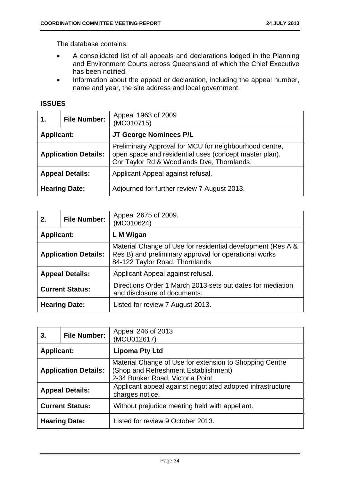The database contains:

- A consolidated list of all appeals and declarations lodged in the Planning and Environment Courts across Queensland of which the Chief Executive has been notified.
- Information about the appeal or declaration, including the appeal number, name and year, the site address and local government.

#### **ISSUES**

| 1.                | <b>File Number:</b>         | Appeal 1963 of 2009<br>(MC010715)                                                                                                                              |
|-------------------|-----------------------------|----------------------------------------------------------------------------------------------------------------------------------------------------------------|
| <b>Applicant:</b> |                             | JT George Nominees P/L                                                                                                                                         |
|                   | <b>Application Details:</b> | Preliminary Approval for MCU for neighbourhood centre,<br>open space and residential uses (concept master plan).<br>Cnr Taylor Rd & Woodlands Dve, Thornlands. |
|                   | <b>Appeal Details:</b>      | Applicant Appeal against refusal.                                                                                                                              |
|                   | <b>Hearing Date:</b>        | Adjourned for further review 7 August 2013.                                                                                                                    |

| 2.                | <b>File Number:</b>         | Appeal 2675 of 2009.<br>(MC010624)                                                                                                                     |
|-------------------|-----------------------------|--------------------------------------------------------------------------------------------------------------------------------------------------------|
| <b>Applicant:</b> |                             | L M Wigan                                                                                                                                              |
|                   | <b>Application Details:</b> | Material Change of Use for residential development (Res A &<br>Res B) and preliminary approval for operational works<br>84-122 Taylor Road, Thornlands |
|                   | <b>Appeal Details:</b>      | Applicant Appeal against refusal.                                                                                                                      |
|                   | <b>Current Status:</b>      | Directions Order 1 March 2013 sets out dates for mediation<br>and disclosure of documents.                                                             |
|                   | <b>Hearing Date:</b>        | Listed for review 7 August 2013.                                                                                                                       |

| 3.                | <b>File Number:</b>                                                      | Appeal 246 of 2013<br>(MCU012617)                                                                                                   |
|-------------------|--------------------------------------------------------------------------|-------------------------------------------------------------------------------------------------------------------------------------|
| <b>Applicant:</b> |                                                                          | <b>Lipoma Pty Ltd</b>                                                                                                               |
|                   | <b>Application Details:</b>                                              | Material Change of Use for extension to Shopping Centre<br>(Shop and Refreshment Establishment)<br>2-34 Bunker Road, Victoria Point |
|                   | <b>Appeal Details:</b>                                                   | Applicant appeal against negotiated adopted infrastructure<br>charges notice.                                                       |
|                   | <b>Current Status:</b><br>Without prejudice meeting held with appellant. |                                                                                                                                     |
|                   | <b>Hearing Date:</b>                                                     | Listed for review 9 October 2013.                                                                                                   |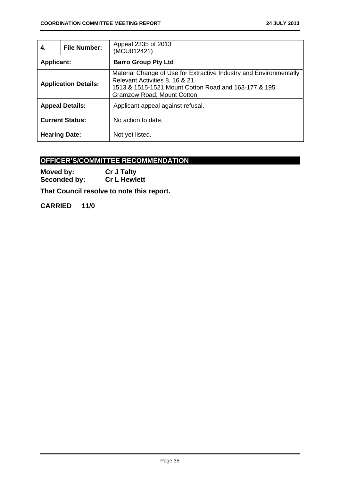| 4.                | <b>File Number:</b>         | Appeal 2335 of 2013<br>(MCU012421)                                                                                                                                                                |
|-------------------|-----------------------------|---------------------------------------------------------------------------------------------------------------------------------------------------------------------------------------------------|
| <b>Applicant:</b> |                             | <b>Barro Group Pty Ltd</b>                                                                                                                                                                        |
|                   | <b>Application Details:</b> | Material Change of Use for Extractive Industry and Environmentally<br>Relevant Activities 8, 16 & 21<br>1513 & 1515-1521 Mount Cotton Road and 163-177 & 195<br><b>Gramzow Road, Mount Cotton</b> |
|                   | <b>Appeal Details:</b>      | Applicant appeal against refusal.                                                                                                                                                                 |
|                   | <b>Current Status:</b>      | No action to date.                                                                                                                                                                                |
|                   | <b>Hearing Date:</b>        | Not yet listed.                                                                                                                                                                                   |

#### **OFFICER'S/COMMITTEE RECOMMENDATION**

**Moved by:** Cr J Talty<br> **Seconded by:** Cr L Hewlett **Seconded by:** 

**That Council resolve to note this report.**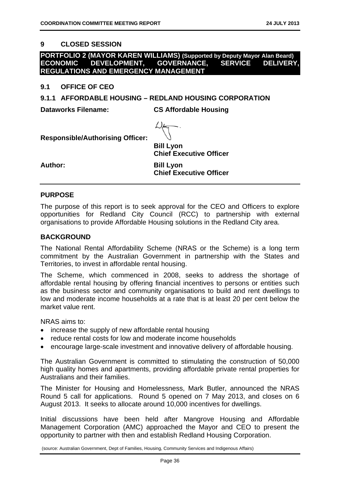#### **9 CLOSED SESSION**

#### **PORTFOLIO 2 (MAYOR KAREN WILLIAMS) (Supported by Deputy Mayor Alan Beard) ECONOMIC DEVELOPMENT, GOVERNANCE, SERVICE DELIVERY, REGULATIONS AND EMERGENCY MANAGEMENT**

**9.1 OFFICE OF CEO** 

**9.1.1 AFFORDABLE HOUSING – REDLAND HOUSING CORPORATION** 

**Dataworks Filename: CS Affordable Housing** 



**Responsible/Authorising Officer:** 

**Bill Lyon Chief Executive Officer** 

**Author: Bill Lyon Chief Executive Officer** 

#### **PURPOSE**

The purpose of this report is to seek approval for the CEO and Officers to explore opportunities for Redland City Council (RCC) to partnership with external organisations to provide Affordable Housing solutions in the Redland City area.

#### **BACKGROUND**

The National Rental Affordability Scheme (NRAS or the Scheme) is a long term commitment by the Australian Government in partnership with the States and Territories, to invest in affordable rental housing.

The Scheme, which commenced in 2008, seeks to address the shortage of affordable rental housing by offering financial incentives to persons or entities such as the business sector and community organisations to build and rent dwellings to low and moderate income households at a rate that is at least 20 per cent below the market value rent.

NRAS aims to:

- increase the supply of new affordable rental housing
- reduce rental costs for low and moderate income households
- encourage large-scale investment and innovative delivery of affordable housing.

The Australian Government is committed to stimulating the construction of 50,000 high quality homes and apartments, providing affordable private rental properties for Australians and their families.

The Minister for Housing and Homelessness, Mark Butler, announced the NRAS Round 5 call for applications. Round 5 opened on 7 May 2013, and closes on 6 August 2013. It seeks to allocate around 10,000 incentives for dwellings.

Initial discussions have been held after Mangrove Housing and Affordable Management Corporation (AMC) approached the Mayor and CEO to present the opportunity to partner with then and establish Redland Housing Corporation.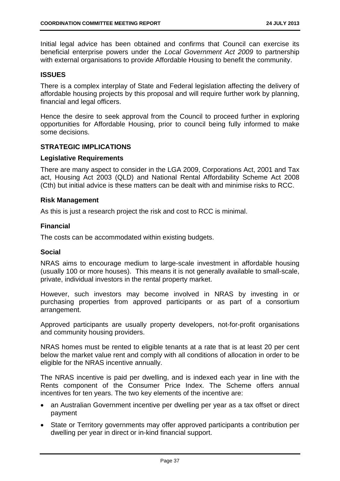Initial legal advice has been obtained and confirms that Council can exercise its beneficial enterprise powers under the *Local Government Act 2009* to partnership with external organisations to provide Affordable Housing to benefit the community.

#### **ISSUES**

There is a complex interplay of State and Federal legislation affecting the delivery of affordable housing projects by this proposal and will require further work by planning, financial and legal officers.

Hence the desire to seek approval from the Council to proceed further in exploring opportunities for Affordable Housing, prior to council being fully informed to make some decisions.

#### **STRATEGIC IMPLICATIONS**

#### **Legislative Requirements**

There are many aspect to consider in the LGA 2009, Corporations Act, 2001 and Tax act, Housing Act 2003 (QLD) and National Rental Affordability Scheme Act 2008 (Cth) but initial advice is these matters can be dealt with and minimise risks to RCC.

#### **Risk Management**

As this is just a research project the risk and cost to RCC is minimal.

#### **Financial**

The costs can be accommodated within existing budgets.

#### **Social**

NRAS aims to encourage medium to large-scale investment in affordable housing (usually 100 or more houses). This means it is not generally available to small-scale, private, individual investors in the rental property market.

However, such investors may become involved in NRAS by investing in or purchasing properties from approved participants or as part of a consortium arrangement.

Approved participants are usually property developers, not-for-profit organisations and community housing providers.

NRAS homes must be rented to eligible tenants at a rate that is at least 20 per cent below the market value rent and comply with all conditions of allocation in order to be eligible for the NRAS incentive annually.

The NRAS incentive is paid per dwelling, and is indexed each year in line with the Rents component of the Consumer Price Index. The Scheme offers annual incentives for ten years. The two key elements of the incentive are:

- an Australian Government incentive per dwelling per year as a tax offset or direct payment
- State or Territory governments may offer approved participants a contribution per dwelling per year in direct or in-kind financial support.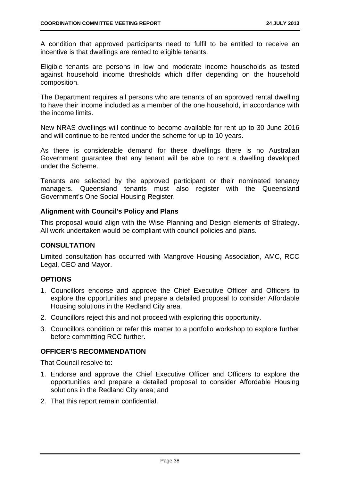A condition that approved participants need to fulfil to be entitled to receive an incentive is that dwellings are rented to eligible tenants.

Eligible tenants are persons in low and moderate income households as tested against household income thresholds which differ depending on the household composition.

The Department requires all persons who are tenants of an approved rental dwelling to have their income included as a member of the one household, in accordance with the income limits.

New NRAS dwellings will continue to become available for rent up to 30 June 2016 and will continue to be rented under the scheme for up to 10 years.

As there is considerable demand for these dwellings there is no Australian Government guarantee that any tenant will be able to rent a dwelling developed under the Scheme.

Tenants are selected by the approved participant or their nominated tenancy managers. Queensland tenants must also register with the Queensland Government's One Social Housing Register.

#### **Alignment with Council's Policy and Plans**

This proposal would align with the Wise Planning and Design elements of Strategy. All work undertaken would be compliant with council policies and plans.

#### **CONSULTATION**

Limited consultation has occurred with Mangrove Housing Association, AMC, RCC Legal, CEO and Mayor.

#### **OPTIONS**

- 1. Councillors endorse and approve the Chief Executive Officer and Officers to explore the opportunities and prepare a detailed proposal to consider Affordable Housing solutions in the Redland City area.
- 2. Councillors reject this and not proceed with exploring this opportunity.
- 3. Councillors condition or refer this matter to a portfolio workshop to explore further before committing RCC further.

#### **OFFICER'S RECOMMENDATION**

That Council resolve to:

- 1. Endorse and approve the Chief Executive Officer and Officers to explore the opportunities and prepare a detailed proposal to consider Affordable Housing solutions in the Redland City area; and
- 2. That this report remain confidential.